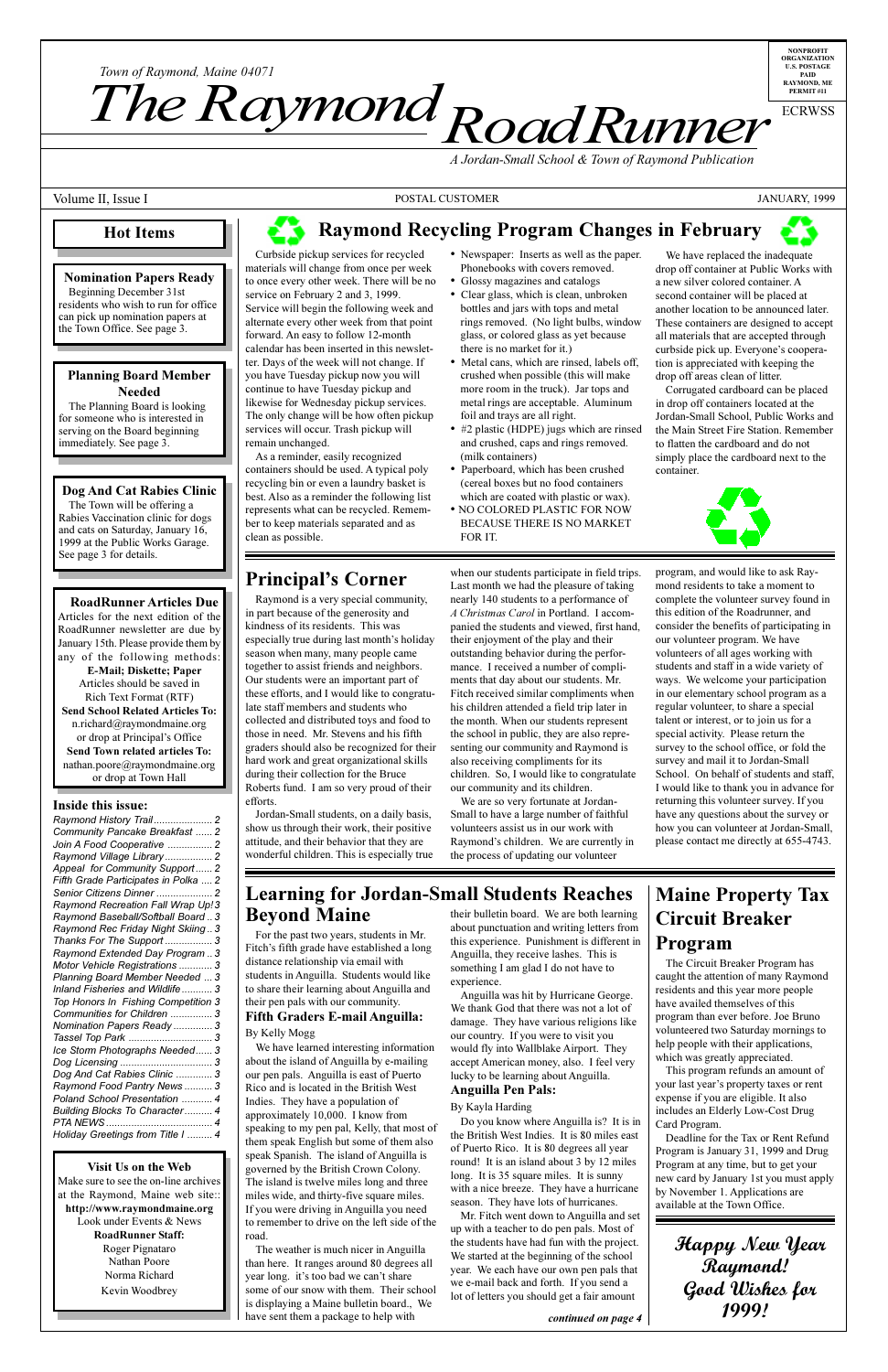#### **Dog And Cat Rabies Clinic**

The Town will be offering a Rabies Vaccination clinic for dogs and cats on Saturday, January 16, 1999 at the Public Works Garage. See page 3 for details.

#### **RoadRunner Articles Due**

Articles for the next edition of the RoadRunner newsletter are due by January 15th. Please provide them by any of the following methods: **E-Mail; Diskette; Paper**

Articles should be saved in Rich Text Format (RTF) **Send School Related Articles To:** n.richard@raymondmaine.org or drop at Principal's Office **Send Town related articles To:** nathan.poore@raymondmaine.org or drop at Town Hall

#### **Inside this issue:**

| Raymond History Trail 2              |
|--------------------------------------|
| Community Pancake Breakfast  2       |
| Join A Food Cooperative  2           |
| Raymond Village Library 2            |
| Appeal for Community Support 2       |
| Fifth Grade Participates in Polka  2 |
| Senior Citizens Dinner  2            |
| Raymond Recreation Fall Wrap Up!3    |
| Raymond Baseball/Softball Board  3   |
| Raymond Rec Friday Night Skiing3     |
| Thanks For The Support 3             |
| Raymond Extended Day Program  3      |
| Motor Vehicle Registrations  3       |
| Planning Board Member Needed  3      |
| Inland Fisheries and Wildlife 3      |
| Top Honors In Fishing Competition 3  |
| Communities for Children  3          |
| Nomination Papers Ready  3           |
|                                      |
| Ice Storm Photographs Needed 3       |
|                                      |
| Dog And Cat Rabies Clinic  3         |
| Raymond Food Pantry News 3           |
| Poland School Presentation  4        |
| Building Blocks To Character 4       |
|                                      |
| Holiday Greetings from Title I  4    |
|                                      |

#### **Visit Us on the Web**

Make sure to see the on-line archives at the Raymond, Maine web site:: **http://www.raymondmaine.org** Look under Events & News **RoadRunner Staff:** Roger Pignataro Nathan Poore Norma Richard Kevin Woodbrey

recycling bin or even a laundry basket is best. Also as a reminder the following list represents what can be recycled. Remember to keep materials separated and as clean as possible.

# **Principal's Corner**

Raymond is a very special community, in part because of the generosity and kindness of its residents. This was especially true during last month's holiday season when many, many people came together to assist friends and neighbors. Our students were an important part of these efforts, and I would like to congratulate staff members and students who collected and distributed toys and food to those in need. Mr. Stevens and his fifth graders should also be recognized for their hard work and great organizational skills during their collection for the Bruce Roberts fund. I am so very proud of their efforts.

Jordan-Small students, on a daily basis, show us through their work, their positive attitude, and their behavior that they are wonderful children. This is especially true

(cereal boxes but no food containers which are coated with plastic or wax).

 NO COLORED PLASTIC FOR NOW BECAUSE THERE IS NO MARKET FOR IT.

when our students participate in field trips. Last month we had the pleasure of taking nearly 140 students to a performance of *A Christmas Carol* in Portland. I accompanied the students and viewed, first hand, their enjoyment of the play and their outstanding behavior during the performance. I received a number of compliments that day about our students. Mr. Fitch received similar compliments when his children attended a field trip later in the month. When our students represent the school in public, they are also representing our community and Raymond is also receiving compliments for its children. So, I would like to congratulate our community and its children.

We are so very fortunate at Jordan-Small to have a large number of faithful volunteers assist us in our work with Raymond's children. We are currently in the process of updating our volunteer

progra mond i comple this ed consid our vol volunte student ways. in our regular talent o special survey survey School. I would returni have a how yo please

#### **Learning for Jordan-Small Students Reaches Beyond Maine** their bulletin board. We are both learning

For the past two years, students in Mr. Fitch's fifth grade have established a long distance relationship via email with students in Anguilla. Students would like to share their learning about Anguilla and their pen pals with our community.

# **Fifth Graders E-mail Anguilla:**

By Kelly Mogg

We have learned interesting information about the island of Anguilla by e-mailing our pen pals. Anguilla is east of Puerto Rico and is located in the British West Indies. They have a population of approximately 10,000. I know from speaking to my pen pal, Kelly, that most of them speak English but some of them also speak Spanish. The island of Anguilla is governed by the British Crown Colony. The island is twelve miles long and three miles wide, and thirty-five square miles. If you were driving in Anguilla you need to remember to drive on the left side of the road.

The weather is much nicer in Anguilla than here. It ranges around 80 degrees all year long. it's too bad we can't share some of our snow with them. Their school is displaying a Maine bulletin board., We have sent them a package to help with

about punctuation and writing letters from this experience. Punishment is different in Anguilla, they receive lashes. This is something I am glad I do not have to experience.

Anguilla was hit by Hurricane George. We thank God that there was not a lot of damage. They have various religions like our country. If you were to visit you would fly into Wallblake Airport. They accept American money, also. I feel very lucky to be learning about Anguilla.

#### **Anguilla Pen Pals:** By Kayla Harding

Do you know where Anguilla is? It is in the British West Indies. It is 80 miles east of Puerto Rico. It is 80 degrees all year round! It is an island about 3 by 12 miles long. It is 35 square miles. It is sunny with a nice breeze. They have a hurricane season. They have lots of hurricanes.

Mr. Fitch went down to Anguilla and set up with a teacher to do pen pals. Most of the students have had fun with the project. We started at the beginning of the school year. We each have our own pen pals that we e-mail back and forth. If you send a lot of letters you should get a fair amount

*continued on page 4*

# **Ma Cir Pro**

The caught resider have a progra volunte help pe which This your la

include Card P Dea Progra Progra new ca by Nov availal

 $\overline{\mathcal{J}}$ 

**Good Wishes for**

expens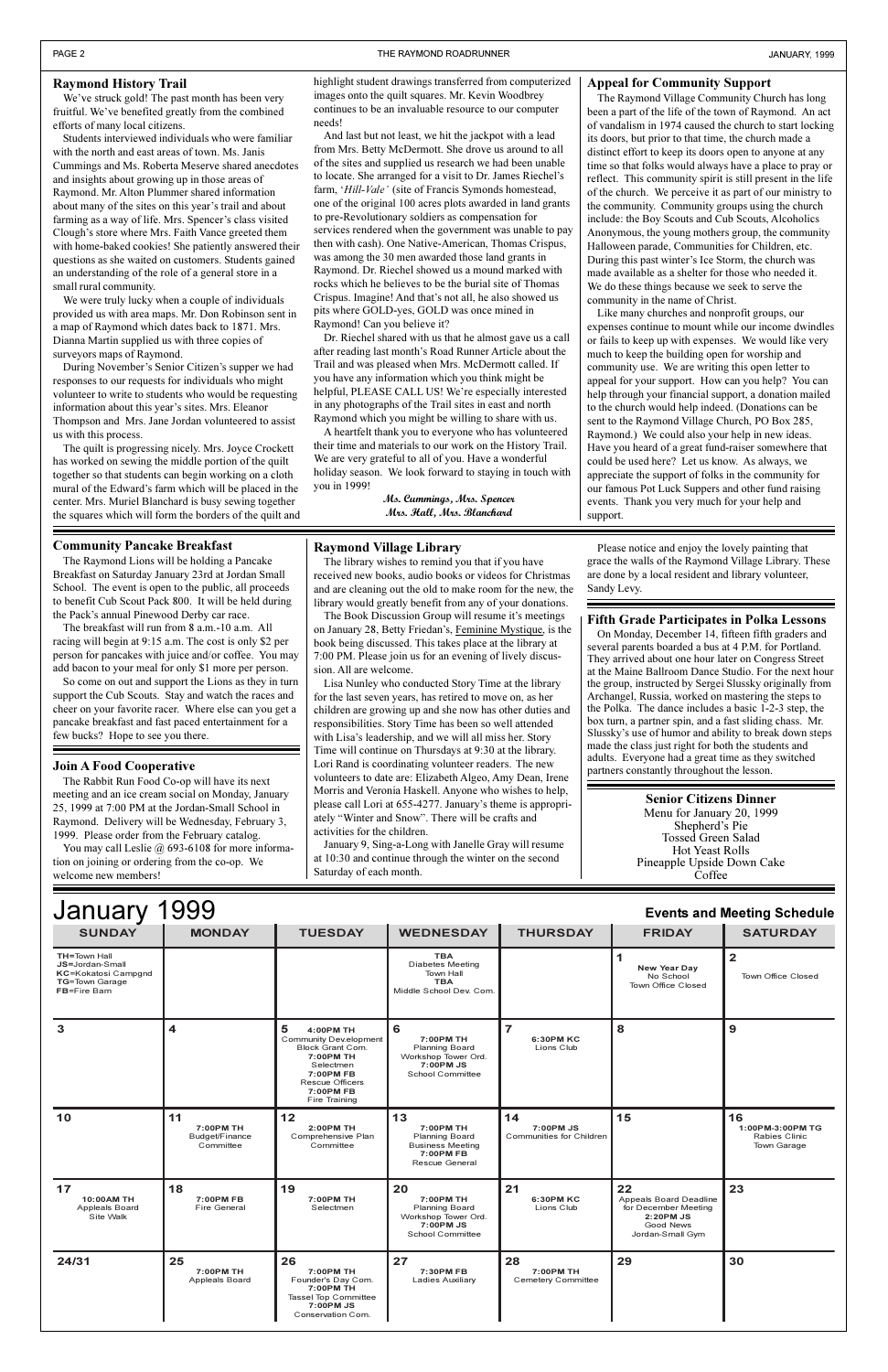| January 1999<br><b>Events and Meeting Schedule</b>                                                                          |               |                |                                                                               |                 |                                                 |                    |  |
|-----------------------------------------------------------------------------------------------------------------------------|---------------|----------------|-------------------------------------------------------------------------------|-----------------|-------------------------------------------------|--------------------|--|
| <b>SUNDAY</b>                                                                                                               | <b>MONDAY</b> | <b>TUESDAY</b> | <b>WEDNESDAY</b>                                                              | <b>THURSDAY</b> | <b>FRIDAY</b>                                   | <b>SATURDAY</b>    |  |
| <b>TH=Town Hall</b><br><b>JS=Jordan-Small</b><br><b>KC=Kokatosi Campgnd</b><br><b>TG=Town Garage</b><br><b>FB=Fire Barn</b> |               |                | <b>TBA</b><br>Diabetes Meeting<br>Town Hall<br>TBA<br>Middle School Dev. Com. |                 | New Year Day<br>No School<br>Town Office Closed | Town Office Closed |  |

We've struck gold! The past month has been very fruitful. We've benefited greatly from the combined efforts of many local citizens.

| 3                                                      | 4                                              | 5<br>4:00PM TH<br><b>Community Development</b><br><b>Block Grant Com.</b><br>7:00PM TH<br>Selectmen<br>7:00PM FB<br><b>Rescue Officers</b><br>7:00PM FB<br>Fire Training | 6<br>7:00PM TH<br><b>Planning Board</b><br>Workshop Tower Ord.<br>7:00PM JS<br><b>School Committee</b>  | $\overline{7}$<br>6:30PM KC<br>Lions Club    | 8                                                                                                         | 9                                                                    |
|--------------------------------------------------------|------------------------------------------------|--------------------------------------------------------------------------------------------------------------------------------------------------------------------------|---------------------------------------------------------------------------------------------------------|----------------------------------------------|-----------------------------------------------------------------------------------------------------------|----------------------------------------------------------------------|
| 10                                                     | 11<br>7:00PM TH<br>Budget/Finance<br>Committee | $12$<br>2:00PM TH<br>Comprehensive Plan<br>Committee                                                                                                                     | 13<br>7:00PM TH<br><b>Planning Board</b><br><b>Business Meeting</b><br>7:00PM FB<br>Rescue General      | 14<br>7:00PM JS<br>Communities for Children  | 15                                                                                                        | 16<br>1:00PM-3:00PM TG<br><b>Rabies Clinic</b><br><b>Town Garage</b> |
| 17<br>10:00AM TH<br><b>Appleals Board</b><br>Site Walk | 18<br>7:00PM FB<br>Fire General                | 19<br>7:00PM TH<br>Selectmen                                                                                                                                             | 20<br>7:00PM TH<br><b>Planning Board</b><br>Workshop Tower Ord.<br>7:00PM JS<br><b>School Committee</b> | 21<br>6:30PM KC<br>Lions Club                | 22<br><b>Appeals Board Deadline</b><br>for December Meeting<br>2:20PM JS<br>Good News<br>Jordan-Small Gym | 23                                                                   |
| 24/31                                                  | 25<br>7:00PM TH<br><b>Appleals Board</b>       | 26<br>7:00PM TH<br>Founder's Day Com.<br>7:00PM TH<br><b>Tassel Top Committee</b><br>7:00PM JS<br>Conservation Com.                                                      | 27<br>7:30PM FB<br><b>Ladies Auxiliary</b>                                                              | 28<br>7:00PM TH<br><b>Cemetery Committee</b> | 29                                                                                                        | 30                                                                   |

During November's Senior Citizen's supper we had responses to our requests for individuals who might volunteer to write to students who would be requesting information about this year's sites. Mrs. Eleanor Thompson and Mrs. Jane Jordan volunteered to assist us with this process.

#### **Raymond History Trail**

Students interviewed individuals who were familiar with the north and east areas of town. Ms. Janis Cummings and Ms. Roberta Meserve shared anecdotes and insights about growing up in those areas of Raymond. Mr. Alton Plummer shared information about many of the sites on this year's trail and about farming as a way of life. Mrs. Spencer's class visited Clough's store where Mrs. Faith Vance greeted them with home-baked cookies! She patiently answered their questions as she waited on customers. Students gained an understanding of the role of a general store in a small rural community.

We were truly lucky when a couple of individuals provided us with area maps. Mr. Don Robinson sent in a map of Raymond which dates back to 1871. Mrs. Dianna Martin supplied us with three copies of surveyors maps of Raymond.

The quilt is progressing nicely. Mrs. Joyce Crockett has worked on sewing the middle portion of the quilt together so that students can begin working on a cloth mural of the Edward's farm which will be placed in the center. Mrs. Muriel Blanchard is busy sewing together the squares which will form the borders of the quilt and highlight student drawings transferred from computerized images onto the quilt squares. Mr. Kevin Woodbrey continues to be an invaluable resource to our computer needs!

The Book Discussion Group will resume it's meetings on January 28, Betty Friedan's, Feminine Mystique, is the book being discussed. This takes place at the library at 7:00 PM. Please join us for an evening of lively discussion. All are welcome.

And last but not least, we hit the jackpot with a lead from Mrs. Betty McDermott. She drove us around to all of the sites and supplied us research we had been unable to locate. She arranged for a visit to Dr. James Riechel's farm, 'Hill-Vale' (site of Francis Symonds homestead, one of the original 100 acres plots awarded in land grants to pre-Revolutionary soldiers as compensation for services rendered when the government was unable to pay then with cash). One Native-American, Thomas Crispus, was among the 30 men awarded those land grants in Raymond. Dr. Riechel showed us a mound marked with rocks which he believes to be the burial site of Thomas Crispus. Imagine! And that's not all, he also showed us pits where GOLD-yes, GOLD was once mined in Raymond! Can you believe it?

The Raymond Lions will be holding a Pancake Breakfast on Saturday January 23rd at Jordan Small School. The event is open to the public, all proceeds to benefit Cub Scout Pack 800. It will be held during the Pack's annual Pinewood Derby car race.

Dr. Riechel shared with us that he almost gave us a call after reading last month's Road Runner Article about the Trail and was pleased when Mrs. McDermott called. If you have any information which you think might be helpful, PLEASE CALL US! We're especially interested in any photographs of the Trail sites in east and north Raymond which you might be willing to share with us.

You may call Leslie @ 693-6108 for more information on joining or ordering from the co-op. We welcome new members!

A heartfelt thank you to everyone who has volunteered their time and materials to our work on the History Trail. We are very grateful to all of you. Have a wonderful holiday season. We look forward to staying in touch with you in 1999!

> **Ms. Cummings, Mrs. Spencer Mrs. Hall, Mrs. Blanchard**

#### **Appeal for Community Support**

**Senior Citizens Dinner** Menu for January 20, 1999 Shepherd's Pie Tossed Green Salad Hot Yeast Rolls Pineapple Upside Down Cake **Coffee** 

The Raymond Village Community Church has long been a part of the life of the town of Raymond. An act of vandalism in 1974 caused the church to start locking its doors, but prior to that time, the church made a distinct effort to keep its doors open to anyone at any time so that folks would always have a place to pray or reflect. This community spirit is still present in the life of the church. We perceive it as part of our ministry to the community. Community groups using the church include: the Boy Scouts and Cub Scouts, Alcoholics Anonymous, the young mothers group, the community Halloween parade, Communities for Children, etc. During this past winter's Ice Storm, the church was made available as a shelter for those who needed it. We do these things because we seek to serve the community in the name of Christ.

Like many churches and nonprofit groups, our expenses continue to mount while our income dwindles or fails to keep up with expenses. We would like very much to keep the building open for worship and community use. We are writing this open letter to appeal for your support. How can you help? You can help through your financial support, a donation mailed to the church would help indeed. (Donations can be sent to the Raymond Village Church, PO Box 285, Raymond.) We could also your help in new ideas. Have you heard of a great fund-raiser somewhere that could be used here? Let us know. As always, we appreciate the support of folks in the community for our famous Pot Luck Suppers and other fund raising events. Thank you very much for your help and support.

#### **Raymond Village Library**

The library wishes to remind you that if you have received new books, audio books or videos for Christmas and are cleaning out the old to make room for the new, the library would greatly benefit from any of your donations.

Lisa Nunley who conducted Story Time at the library for the last seven years, has retired to move on, as her children are growing up and she now has other duties and responsibilities. Story Time has been so well attended with Lisa's leadership, and we will all miss her. Story Time will continue on Thursdays at 9:30 at the library. Lori Rand is coordinating volunteer readers. The new volunteers to date are: Elizabeth Algeo, Amy Dean, Irene Morris and Veronia Haskell. Anyone who wishes to help, please call Lori at 655-4277. January's theme is appropriately "Winter and Snow". There will be crafts and activities for the children.

January 9, Sing-a-Long with Janelle Gray will resume at 10:30 and continue through the winter on the second Saturday of each month.

Please notice and enjoy the lovely painting that grace the walls of the Raymond Village Library. These are done by a local resident and library volunteer, Sandy Levy.

#### **Community Pancake Breakfast**

The breakfast will run from 8 a.m.-10 a.m. All racing will begin at 9:15 a.m. The cost is only \$2 per person for pancakes with juice and/or coffee. You may add bacon to your meal for only \$1 more per person.

So come on out and support the Lions as they in turn support the Cub Scouts. Stay and watch the races and cheer on your favorite racer. Where else can you get a pancake breakfast and fast paced entertainment for a few bucks? Hope to see you there.

#### **Join A Food Cooperative**

The Rabbit Run Food Co-op will have its next meeting and an ice cream social on Monday, January 25, 1999 at 7:00 PM at the Jordan-Small School in Raymond. Delivery will be Wednesday, February 3, 1999. Please order from the February catalog.

#### **Fifth Grade Participates in Polka Lessons**

On Monday, December 14, fifteen fifth graders and several parents boarded a bus at 4 P.M. for Portland. They arrived about one hour later on Congress Street at the Maine Ballroom Dance Studio. For the next hour the group, instructed by Sergei Slussky originally from Archangel, Russia, worked on mastering the steps to the Polka. The dance includes a basic 1-2-3 step, the box turn, a partner spin, and a fast sliding chass. Mr. Slussky's use of humor and ability to break down steps made the class just right for both the students and adults. Everyone had a great time as they switched partners constantly throughout the lesson.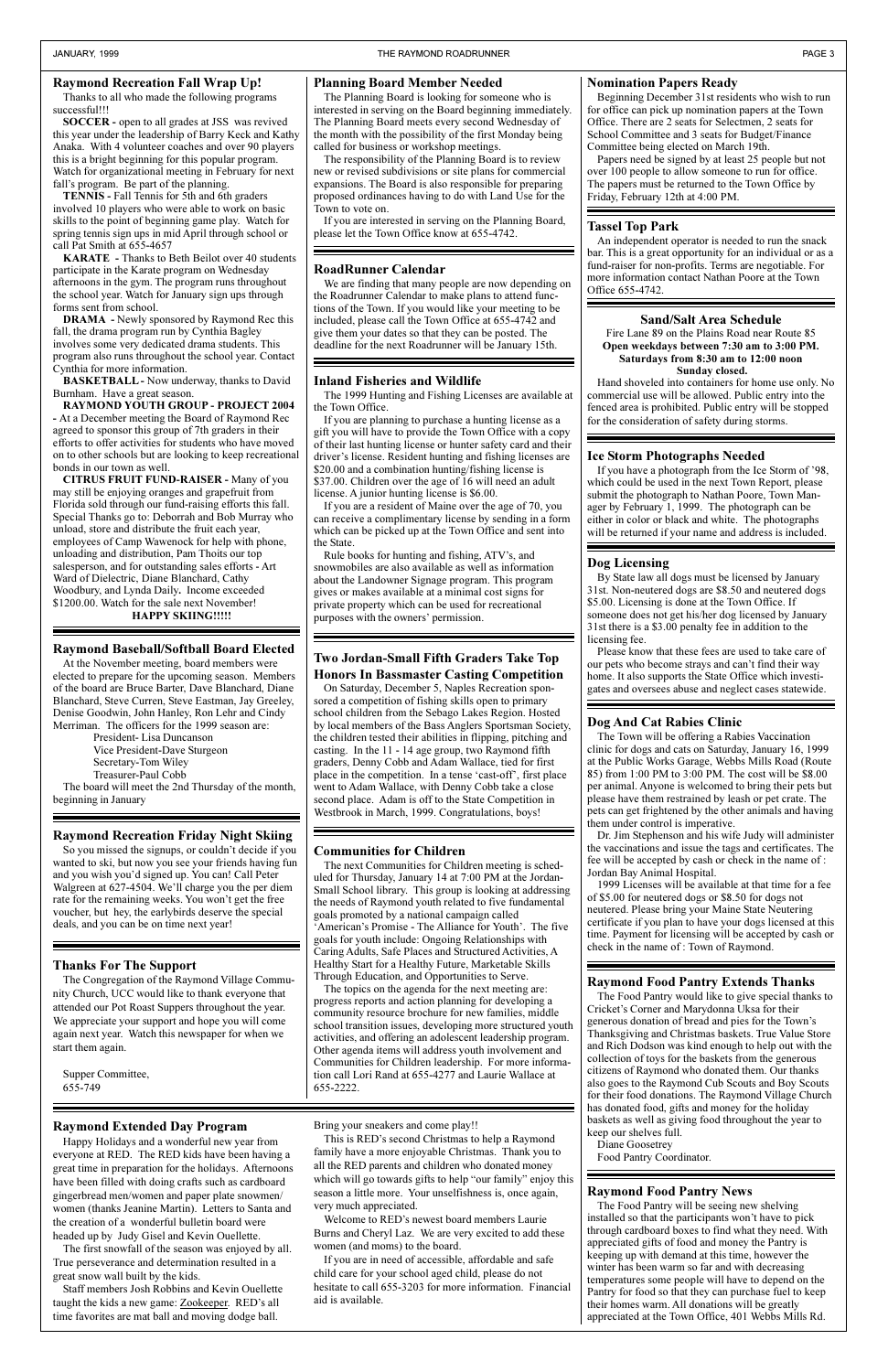#### **Nomination Papers Ready**

Beginning December 31st residents who wish to run for office can pick up nomination papers at the Town Office. There are 2 seats for Selectmen, 2 seats for School Committee and 3 seats for Budget/Finance Committee being elected on March 19th.

Papers need be signed by at least 25 people but not over 100 people to allow someone to run for office. The papers must be returned to the Town Office by Friday, February 12th at 4:00 PM.

#### **Planning Board Member Needed**

The Planning Board is looking for someone who is interested in serving on the Board beginning immediately. The Planning Board meets every second Wednesday of the month with the possibility of the first Monday being called for business or workshop meetings.

The responsibility of the Planning Board is to review new or revised subdivisions or site plans for commercial expansions. The Board is also responsible for preparing proposed ordinances having to do with Land Use for the Town to vote on.

If you are interested in serving on the Planning Board, please let the Town Office know at 655-4742. **Tassel Top Park**

An independent operator is needed to run the snack bar. This is a great opportunity for an individual or as a fund-raiser for non-profits. Terms are negotiable. For more information contact Nathan Poore at the Town Office 655-4742.

#### **RoadRunner Calendar**

We are finding that many people are now depending on the Roadrunner Calendar to make plans to attend functions of the Town. If you would like your meeting to be included, please call the Town Office at 655-4742 and give them your dates so that they can be posted. The deadline for the next Roadrunner will be January 15th.

> If you have a photograph from the Ice Storm of '98, which could be used in the next Town Report, please submit the photograph to Nathan Poore, Town Manager by February 1, 1999. The photograph can be either in color or black and white. The photographs will be returned if your name and address is included.

#### **Inland Fisheries and Wildlife**

The 1999 Hunting and Fishing Licenses are available at the Town Office.

If you are planning to purchase a hunting license as a gift you will have to provide the Town Office with a copy of their last hunting license or hunter safety card and their driver's license. Resident hunting and fishing licenses are \$20.00 and a combination hunting/fishing license is \$37.00. Children over the age of 16 will need an adult license. A junior hunting license is \$6.00.

If you are a resident of Maine over the age of 70, you can receive a complimentary license by sending in a form which can be picked up at the Town Office and sent into the State.

Rule books for hunting and fishing, ATV's, and snowmobiles are also available as well as information about the Landowner Signage program. This program gives or makes available at a minimal cost signs for private property which can be used for recreational purposes with the owners' permission.

#### **Sand/Salt Area Schedule**

Fire Lane 89 on the Plains Road near Route 85 **Open weekdays between 7:30 am to 3:00 PM. Saturdays from 8:30 am to 12:00 noon Sunday closed.**

This is RED's second Christmas to help a Raymond family have a more enjoyable Christmas. Thank you to all the RED parents and children who donated money which will go towards gifts to help "our family" enjoy this season a little more. Your unselfishness is, once again, very much appreciated.

Hand shoveled into containers for home use only. No commercial use will be allowed. Public entry into the fenced area is prohibited. Public entry will be stopped for the consideration of safety during storms.

Welcome to RED's newest board members Laurie Burns and Cheryl Laz. We are very excited to add these women (and moms) to the board.

#### **Ice Storm Photographs Needed**

**SOCCER -** open to all grades at JSS was revived this year under the leadership of Barry Keck and Kathy Anaka. With 4 volunteer coaches and over 90 players this is a bright beginning for this popular program. Watch for organizational meeting in February for next fall's program. Be part of the planning.

#### **Dog Licensing**

By State law all dogs must be licensed by January 31st. Non-neutered dogs are \$8.50 and neutered dogs \$5.00. Licensing is done at the Town Office. If someone does not get his/her dog licensed by January 31st there is a \$3.00 penalty fee in addition to the licensing fee.

Please know that these fees are used to take care of our pets who become strays and can't find their way home. It also supports the State Office which investigates and oversees abuse and neglect cases statewide.

#### **Dog And Cat Rabies Clinic**

The Town will be offering a Rabies Vaccination clinic for dogs and cats on Saturday, January 16, 1999 at the Public Works Garage, Webbs Mills Road (Route 85) from 1:00 PM to 3:00 PM. The cost will be \$8.00 per animal. Anyone is welcomed to bring their pets but please have them restrained by leash or pet crate. The pets can get frightened by the other animals and having them under control is imperative.

Dr. Jim Stephenson and his wife Judy will administer the vaccinations and issue the tags and certificates. The fee will be accepted by cash or check in the name of : Jordan Bay Animal Hospital.

1999 Licenses will be available at that time for a fee of \$5.00 for neutered dogs or \$8.50 for dogs not neutered. Please bring your Maine State Neutering certificate if you plan to have your dogs licensed at this time. Payment for licensing will be accepted by cash or check in the name of : Town of Raymond.

#### **Raymond Extended Day Program**

Happy Holidays and a wonderful new year from everyone at RED. The RED kids have been having a great time in preparation for the holidays. Afternoons have been filled with doing crafts such as cardboard gingerbread men/women and paper plate snowmen/ women (thanks Jeanine Martin). Letters to Santa and the creation of a wonderful bulletin board were headed up by Judy Gisel and Kevin Ouellette.

The first snowfall of the season was enjoyed by all. True perseverance and determination resulted in a great snow wall built by the kids.

Staff members Josh Robbins and Kevin Ouellette taught the kids a new game: Zookeeper. RED's all time favorites are mat ball and moving dodge ball.

Bring your sneakers and come play!!

So you missed the signups, or couldn't decide if you wanted to ski, but now you see your friends having fun and you wish you'd signed up. You can! Call Peter Walgreen at 627-4504. We'll charge you the per diem rate for the remaining weeks. You won't get the free voucher, but hey, the earlybirds deserve the special deals, and you can be on time next year!

> If you are in need of accessible, affordable and safe child care for your school aged child, please do not hesitate to call 655-3203 for more information. Financial aid is available.

#### **Raymond Recreation Fall Wrap Up!**

Thanks to all who made the following programs successful!!!

**TENNIS -** Fall Tennis for 5th and 6th graders involved 10 players who were able to work on basic skills to the point of beginning game play. Watch for spring tennis sign ups in mid April through school or call Pat Smith at 655-4657

**KARATE -** Thanks to Beth Beilot over 40 students participate in the Karate program on Wednesday afternoons in the gym. The program runs throughout the school year. Watch for January sign ups through forms sent from school.

**DRAMA -** Newly sponsored by Raymond Rec this fall, the drama program run by Cynthia Bagley involves some very dedicated drama students. This program also runs throughout the school year. Contact Cynthia for more information.

**BASKETBALL -** Now underway, thanks to David Burnham. Have a great season.

**RAYMOND YOUTH GROUP - PROJECT 2004 -** At a December meeting the Board of Raymond Rec agreed to sponsor this group of 7th graders in their efforts to offer activities for students who have moved on to other schools but are looking to keep recreational bonds in our town as well.

**CITRUS FRUIT FUND-RAISER -** Many of you may still be enjoying oranges and grapefruit from Florida sold through our fund-raising efforts this fall. Special Thanks go to: Deborrah and Bob Murray who unload, store and distribute the fruit each year, employees of Camp Wawenock for help with phone, unloading and distribution, Pam Thoits our top salesperson, and for outstanding sales efforts - Art Ward of Dielectric, Diane Blanchard, Cathy Woodbury, and Lynda Daily**.** Income exceeded \$1200.00. Watch for the sale next November! **HAPPY SKIING!!!!!**

#### **Communities for Children**

The next Communities for Children meeting is scheduled for Thursday, January 14 at 7:00 PM at the Jordan-Small School library. This group is looking at addressing the needs of Raymond youth related to five fundamental goals promoted by a national campaign called 'American's Promise - The Alliance for Youth'. The five goals for youth include: Ongoing Relationships with Caring Adults, Safe Places and Structured Activities, A Healthy Start for a Healthy Future, Marketable Skills Through Education, and Opportunities to Serve.

The topics on the agenda for the next meeting are: progress reports and action planning for developing a community resource brochure for new families, middle school transition issues, developing more structured youth activities, and offering an adolescent leadership program. Other agenda items will address youth involvement and Communities for Children leadership. For more information call Lori Rand at 655-4277 and Laurie Wallace at 655-2222.

#### **Raymond Food Pantry Extends Thanks**

The Food Pantry would like to give special thanks to Cricket's Corner and Marydonna Uksa for their generous donation of bread and pies for the Town's Thanksgiving and Christmas baskets. True Value Store and Rich Dodson was kind enough to help out with the collection of toys for the baskets from the generous citizens of Raymond who donated them. Our thanks also goes to the Raymond Cub Scouts and Boy Scouts for their food donations. The Raymond Village Church has donated food, gifts and money for the holiday baskets as well as giving food throughout the year to keep our shelves full. Diane Goosetrey

Food Pantry Coordinator.

### **Raymond Food Pantry News**

The Food Pantry will be seeing new shelving installed so that the participants won't have to pick through cardboard boxes to find what they need. With appreciated gifts of food and money the Pantry is keeping up with demand at this time, however the winter has been warm so far and with decreasing temperatures some people will have to depend on the Pantry for food so that they can purchase fuel to keep their homes warm. All donations will be greatly appreciated at the Town Office, 401 Webbs Mills Rd.

### **Two Jordan-Small Fifth Graders Take Top Honors In Bassmaster Casting Competition**

On Saturday, December 5, Naples Recreation sponsored a competition of fishing skills open to primary school children from the Sebago Lakes Region. Hosted by local members of the Bass Anglers Sportsman Society, the children tested their abilities in flipping, pitching and casting. In the 11 - 14 age group, two Raymond fifth graders, Denny Cobb and Adam Wallace, tied for first place in the competition. In a tense 'cast-off', first place went to Adam Wallace, with Denny Cobb take a close second place. Adam is off to the State Competition in Westbrook in March, 1999. Congratulations, boys!

**Raymond Baseball/Softball Board Elected**

At the November meeting, board members were elected to prepare for the upcoming season. Members of the board are Bruce Barter, Dave Blanchard, Diane Blanchard, Steve Curren, Steve Eastman, Jay Greeley, Denise Goodwin, John Hanley, Ron Lehr and Cindy Merriman. The officers for the 1999 season are:

> President- Lisa Duncanson Vice President-Dave Sturgeon

Secretary-Tom Wiley

Treasurer-Paul Cobb

The board will meet the 2nd Thursday of the month, beginning in January

#### **Raymond Recreation Friday Night Skiing**

#### **Thanks For The Support**

The Congregation of the Raymond Village Community Church, UCC would like to thank everyone that attended our Pot Roast Suppers throughout the year. We appreciate your support and hope you will come again next year. Watch this newspaper for when we start them again.

Supper Committee, 655-749